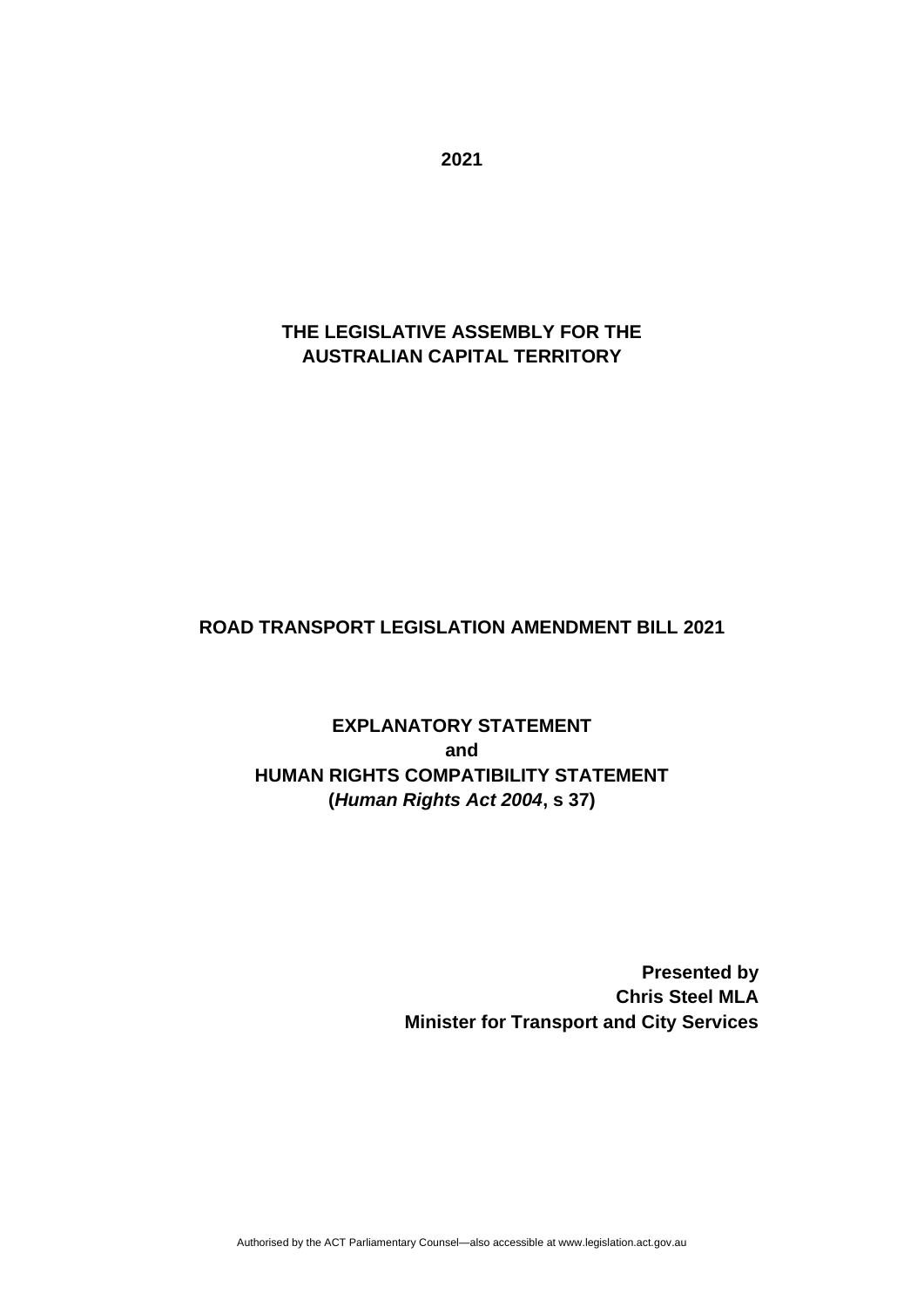**THE LEGISLATIVE ASSEMBLY FOR THE AUSTRALIAN CAPITAL TERRITORY**

#### **ROAD TRANSPORT LEGISLATION AMENDMENT BILL 2021**

## **EXPLANATORY STATEMENT and HUMAN RIGHTS COMPATIBILITY STATEMENT (***Human Rights Act 2004***, s 37)**

**Presented by Chris Steel MLA Minister for Transport and City Services** 

**2021**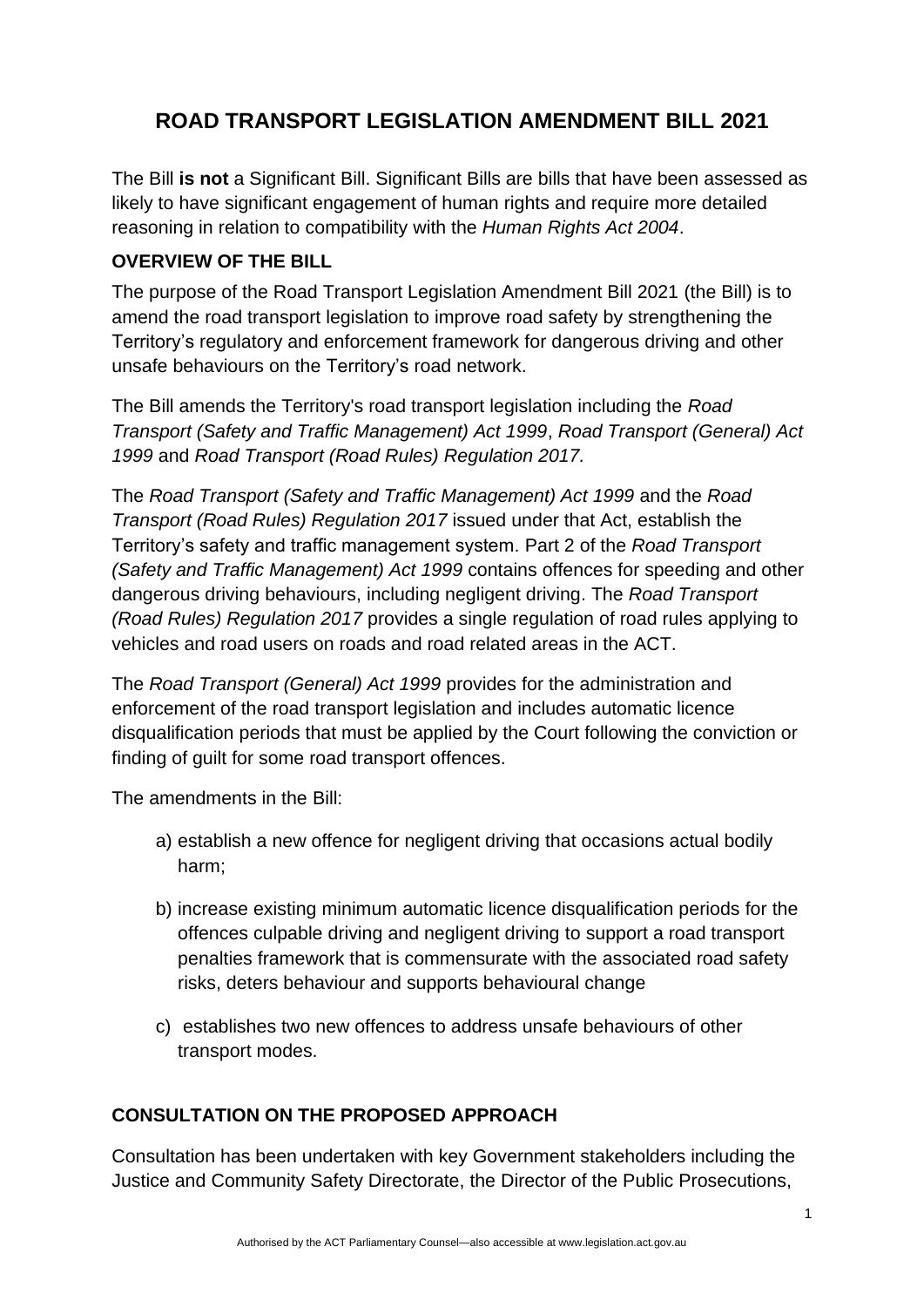# **ROAD TRANSPORT LEGISLATION AMENDMENT BILL 2021**

The Bill **is not** a Significant Bill. Significant Bills are bills that have been assessed as likely to have significant engagement of human rights and require more detailed reasoning in relation to compatibility with the *Human Rights Act 2004*.

#### **OVERVIEW OF THE BILL**

The purpose of the Road Transport Legislation Amendment Bill 2021 (the Bill) is to amend the road transport legislation to improve road safety by strengthening the Territory's regulatory and enforcement framework for dangerous driving and other unsafe behaviours on the Territory's road network.

The Bill amends the Territory's road transport legislation including the *Road Transport (Safety and Traffic Management) Act 1999*, *Road Transport (General) Act 1999* and *Road Transport (Road Rules) Regulation 2017.*

The *Road Transport (Safety and Traffic Management) Act 1999* and the *Road Transport (Road Rules) Regulation 2017* issued under that Act, establish the Territory's safety and traffic management system. Part 2 of the *Road Transport (Safety and Traffic Management) Act 1999* contains offences for speeding and other dangerous driving behaviours, including negligent driving. The *Road Transport (Road Rules) Regulation 2017* provides a single regulation of road rules applying to vehicles and road users on roads and road related areas in the ACT.

The *Road Transport (General) Act 1999* provides for the administration and enforcement of the road transport legislation and includes automatic licence disqualification periods that must be applied by the Court following the conviction or finding of guilt for some road transport offences.

The amendments in the Bill:

- a) establish a new offence for negligent driving that occasions actual bodily harm;
- b) increase existing minimum automatic licence disqualification periods for the offences culpable driving and negligent driving to support a road transport penalties framework that is commensurate with the associated road safety risks, deters behaviour and supports behavioural change
- c) establishes two new offences to address unsafe behaviours of other transport modes.

#### **CONSULTATION ON THE PROPOSED APPROACH**

Consultation has been undertaken with key Government stakeholders including the Justice and Community Safety Directorate, the Director of the Public Prosecutions,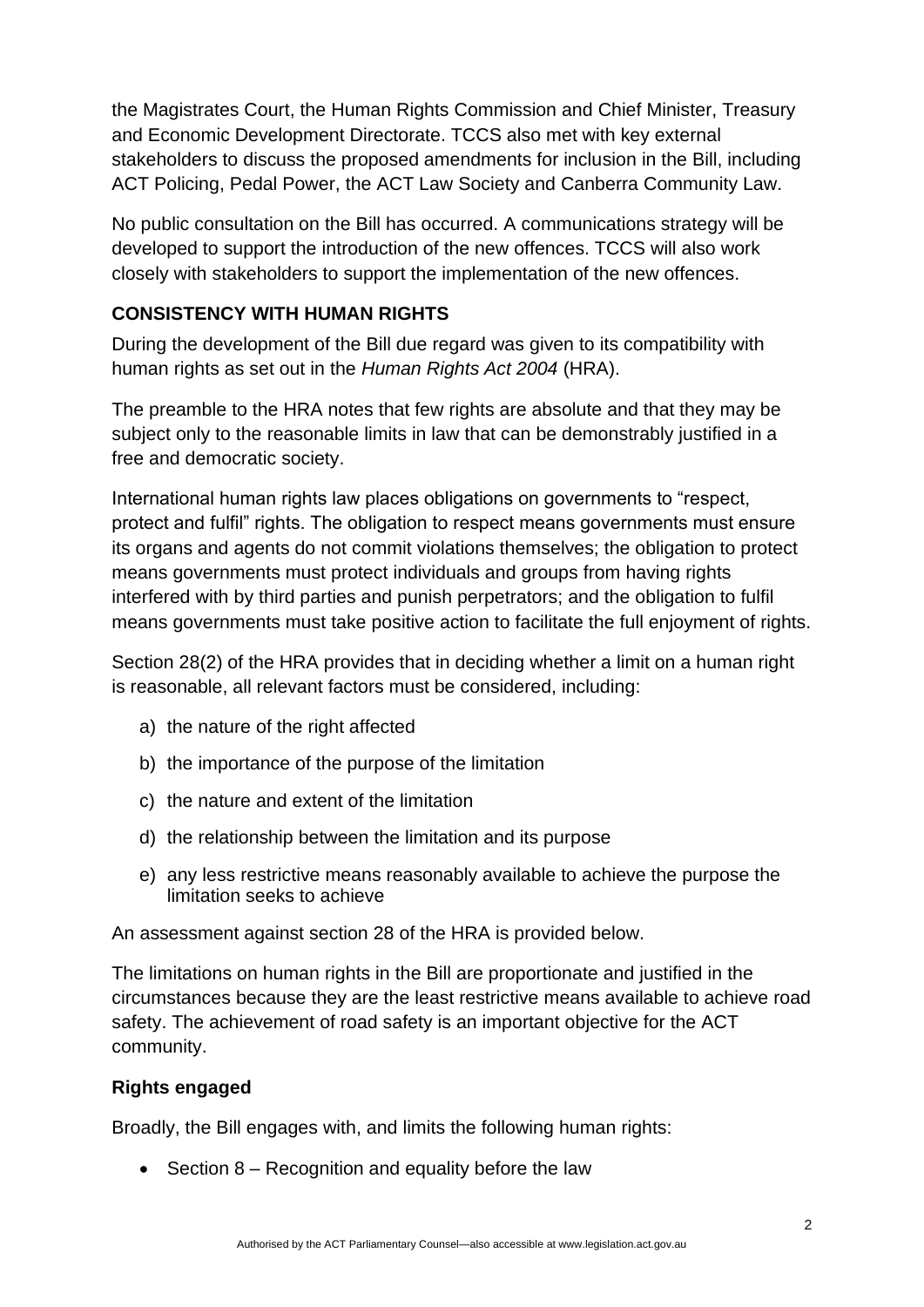the Magistrates Court, the Human Rights Commission and Chief Minister, Treasury and Economic Development Directorate. TCCS also met with key external stakeholders to discuss the proposed amendments for inclusion in the Bill, including ACT Policing, Pedal Power, the ACT Law Society and Canberra Community Law.

No public consultation on the Bill has occurred. A communications strategy will be developed to support the introduction of the new offences. TCCS will also work closely with stakeholders to support the implementation of the new offences.

#### **CONSISTENCY WITH HUMAN RIGHTS**

During the development of the Bill due regard was given to its compatibility with human rights as set out in the *Human Rights Act 2004* (HRA).

The preamble to the HRA notes that few rights are absolute and that they may be subject only to the reasonable limits in law that can be demonstrably justified in a free and democratic society.

International human rights law places obligations on governments to "respect, protect and fulfil" rights. The obligation to respect means governments must ensure its organs and agents do not commit violations themselves; the obligation to protect means governments must protect individuals and groups from having rights interfered with by third parties and punish perpetrators; and the obligation to fulfil means governments must take positive action to facilitate the full enjoyment of rights.

Section 28(2) of the HRA provides that in deciding whether a limit on a human right is reasonable, all relevant factors must be considered, including:

- a) the nature of the right affected
- b) the importance of the purpose of the limitation
- c) the nature and extent of the limitation
- d) the relationship between the limitation and its purpose
- e) any less restrictive means reasonably available to achieve the purpose the limitation seeks to achieve

An assessment against section 28 of the HRA is provided below.

The limitations on human rights in the Bill are proportionate and justified in the circumstances because they are the least restrictive means available to achieve road safety. The achievement of road safety is an important objective for the ACT community.

#### **Rights engaged**

Broadly, the Bill engages with, and limits the following human rights:

• Section 8 – Recognition and equality before the law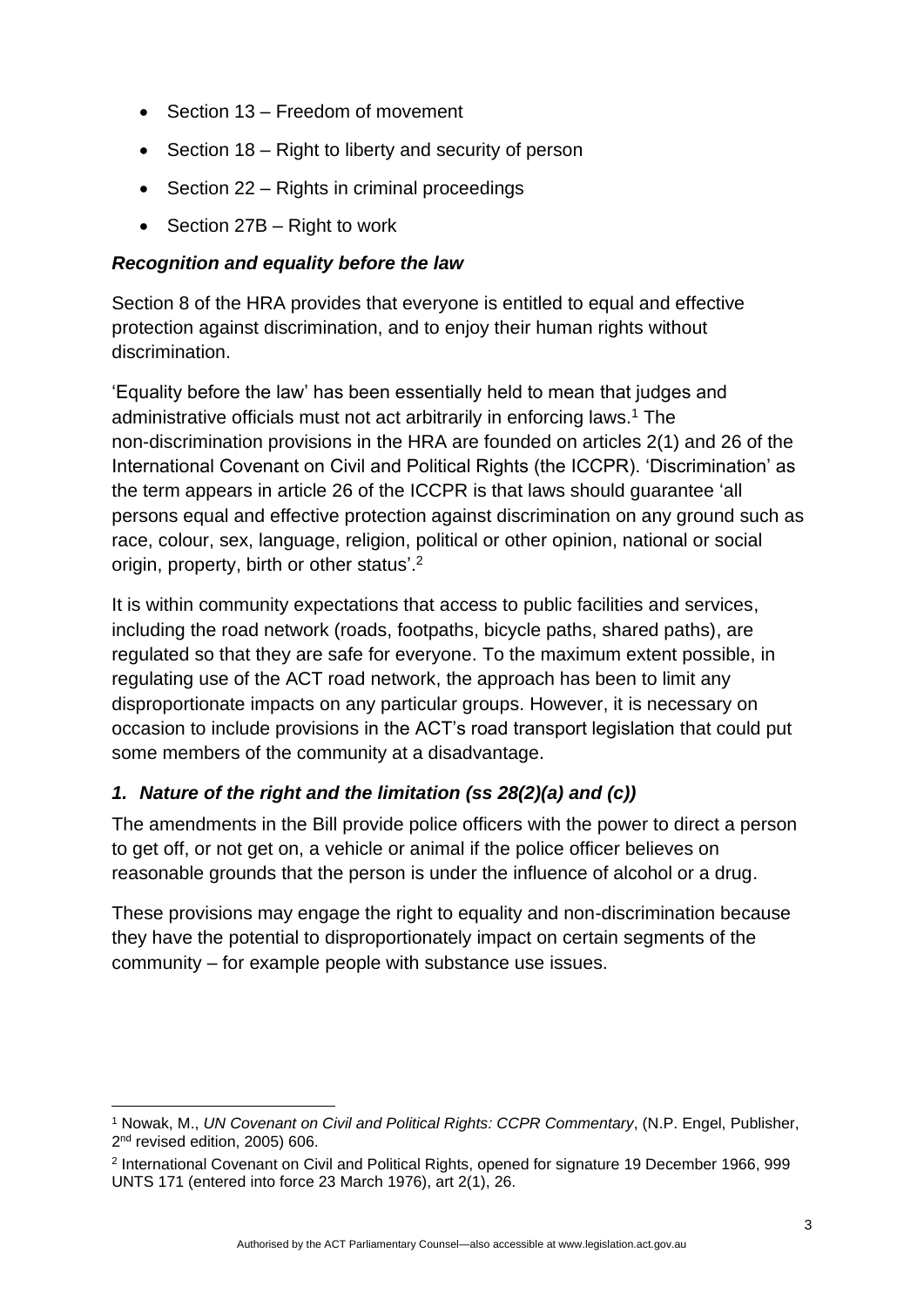- Section 13 Freedom of movement
- Section 18 Right to liberty and security of person
- Section 22 Rights in criminal proceedings
- Section 27B Right to work

#### *Recognition and equality before the law*

Section 8 of the HRA provides that everyone is entitled to equal and effective protection against discrimination, and to enjoy their human rights without discrimination.

'Equality before the law' has been essentially held to mean that judges and administrative officials must not act arbitrarily in enforcing laws.<sup>1</sup> The non-discrimination provisions in the HRA are founded on articles 2(1) and 26 of the International Covenant on Civil and Political Rights (the ICCPR). 'Discrimination' as the term appears in article 26 of the ICCPR is that laws should guarantee 'all persons equal and effective protection against discrimination on any ground such as race, colour, sex, language, religion, political or other opinion, national or social origin, property, birth or other status'.<sup>2</sup>

It is within community expectations that access to public facilities and services, including the road network (roads, footpaths, bicycle paths, shared paths), are regulated so that they are safe for everyone. To the maximum extent possible, in regulating use of the ACT road network, the approach has been to limit any disproportionate impacts on any particular groups. However, it is necessary on occasion to include provisions in the ACT's road transport legislation that could put some members of the community at a disadvantage.

## *1. Nature of the right and the limitation (ss 28(2)(a) and (c))*

The amendments in the Bill provide police officers with the power to direct a person to get off, or not get on, a vehicle or animal if the police officer believes on reasonable grounds that the person is under the influence of alcohol or a drug.

These provisions may engage the right to equality and non-discrimination because they have the potential to disproportionately impact on certain segments of the community – for example people with substance use issues.

<sup>1</sup> Nowak, M., *UN Covenant on Civil and Political Rights: CCPR Commentary*, (N.P. Engel, Publisher, 2<sup>nd</sup> revised edition, 2005) 606.

<sup>2</sup> International Covenant on Civil and Political Rights, opened for signature 19 December 1966, 999 UNTS 171 (entered into force 23 March 1976), art 2(1), 26.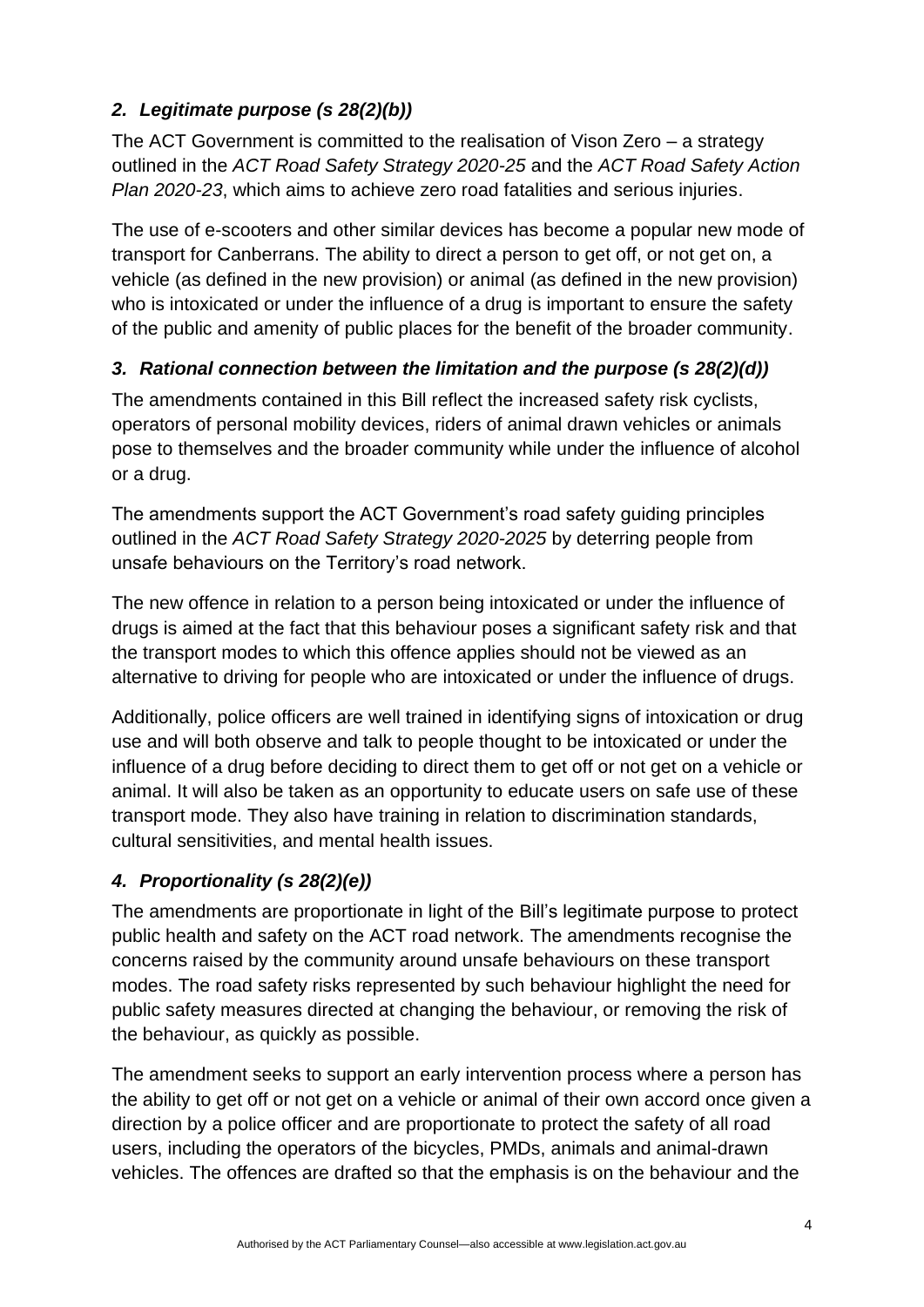# *2. Legitimate purpose (s 28(2)(b))*

The ACT Government is committed to the realisation of Vison Zero – a strategy outlined in the *ACT Road Safety Strategy 2020-25* and the *ACT Road Safety Action Plan 2020-23*, which aims to achieve zero road fatalities and serious injuries.

The use of e-scooters and other similar devices has become a popular new mode of transport for Canberrans. The ability to direct a person to get off, or not get on, a vehicle (as defined in the new provision) or animal (as defined in the new provision) who is intoxicated or under the influence of a drug is important to ensure the safety of the public and amenity of public places for the benefit of the broader community.

## *3. Rational connection between the limitation and the purpose (s 28(2)(d))*

The amendments contained in this Bill reflect the increased safety risk cyclists, operators of personal mobility devices, riders of animal drawn vehicles or animals pose to themselves and the broader community while under the influence of alcohol or a drug.

The amendments support the ACT Government's road safety guiding principles outlined in the *ACT Road Safety Strategy 2020-2025* by deterring people from unsafe behaviours on the Territory's road network.

The new offence in relation to a person being intoxicated or under the influence of drugs is aimed at the fact that this behaviour poses a significant safety risk and that the transport modes to which this offence applies should not be viewed as an alternative to driving for people who are intoxicated or under the influence of drugs.

Additionally, police officers are well trained in identifying signs of intoxication or drug use and will both observe and talk to people thought to be intoxicated or under the influence of a drug before deciding to direct them to get off or not get on a vehicle or animal. It will also be taken as an opportunity to educate users on safe use of these transport mode. They also have training in relation to discrimination standards, cultural sensitivities, and mental health issues.

# *4. Proportionality (s 28(2)(e))*

The amendments are proportionate in light of the Bill's legitimate purpose to protect public health and safety on the ACT road network. The amendments recognise the concerns raised by the community around unsafe behaviours on these transport modes. The road safety risks represented by such behaviour highlight the need for public safety measures directed at changing the behaviour, or removing the risk of the behaviour, as quickly as possible.

The amendment seeks to support an early intervention process where a person has the ability to get off or not get on a vehicle or animal of their own accord once given a direction by a police officer and are proportionate to protect the safety of all road users, including the operators of the bicycles, PMDs, animals and animal-drawn vehicles. The offences are drafted so that the emphasis is on the behaviour and the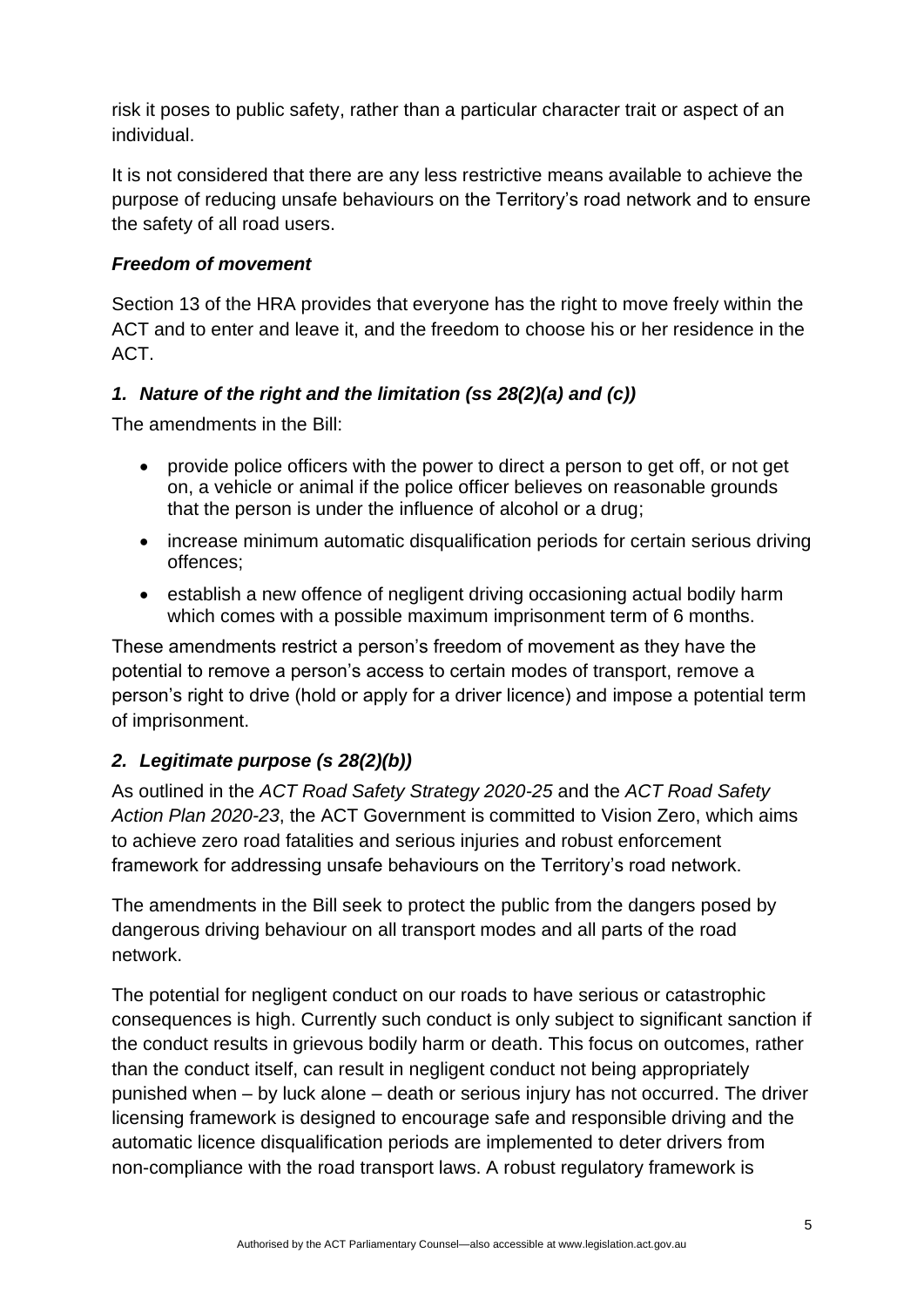risk it poses to public safety, rather than a particular character trait or aspect of an individual.

It is not considered that there are any less restrictive means available to achieve the purpose of reducing unsafe behaviours on the Territory's road network and to ensure the safety of all road users.

### *Freedom of movement*

Section 13 of the HRA provides that everyone has the right to move freely within the ACT and to enter and leave it, and the freedom to choose his or her residence in the ACT.

### *1. Nature of the right and the limitation (ss 28(2)(a) and (c))*

The amendments in the Bill:

- provide police officers with the power to direct a person to get off, or not get on, a vehicle or animal if the police officer believes on reasonable grounds that the person is under the influence of alcohol or a drug;
- increase minimum automatic disqualification periods for certain serious driving offences;
- establish a new offence of negligent driving occasioning actual bodily harm which comes with a possible maximum imprisonment term of 6 months.

These amendments restrict a person's freedom of movement as they have the potential to remove a person's access to certain modes of transport, remove a person's right to drive (hold or apply for a driver licence) and impose a potential term of imprisonment.

## *2. Legitimate purpose (s 28(2)(b))*

As outlined in the *ACT Road Safety Strategy 2020-25* and the *ACT Road Safety Action Plan 2020-23*, the ACT Government is committed to Vision Zero, which aims to achieve zero road fatalities and serious injuries and robust enforcement framework for addressing unsafe behaviours on the Territory's road network.

The amendments in the Bill seek to protect the public from the dangers posed by dangerous driving behaviour on all transport modes and all parts of the road network.

The potential for negligent conduct on our roads to have serious or catastrophic consequences is high. Currently such conduct is only subject to significant sanction if the conduct results in grievous bodily harm or death. This focus on outcomes, rather than the conduct itself, can result in negligent conduct not being appropriately punished when – by luck alone – death or serious injury has not occurred. The driver licensing framework is designed to encourage safe and responsible driving and the automatic licence disqualification periods are implemented to deter drivers from non-compliance with the road transport laws. A robust regulatory framework is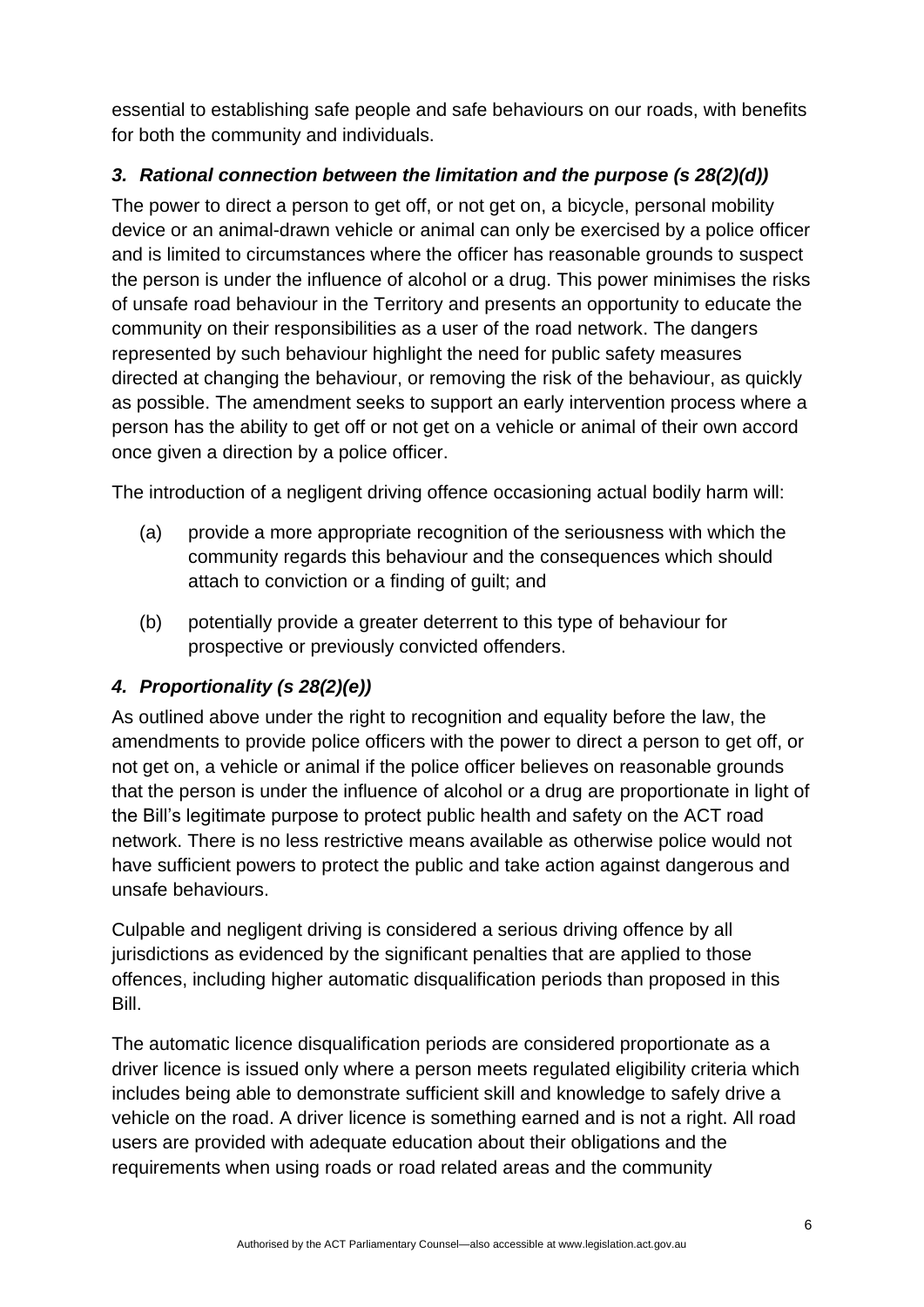essential to establishing safe people and safe behaviours on our roads, with benefits for both the community and individuals.

## *3. Rational connection between the limitation and the purpose (s 28(2)(d))*

The power to direct a person to get off, or not get on, a bicycle, personal mobility device or an animal-drawn vehicle or animal can only be exercised by a police officer and is limited to circumstances where the officer has reasonable grounds to suspect the person is under the influence of alcohol or a drug. This power minimises the risks of unsafe road behaviour in the Territory and presents an opportunity to educate the community on their responsibilities as a user of the road network. The dangers represented by such behaviour highlight the need for public safety measures directed at changing the behaviour, or removing the risk of the behaviour, as quickly as possible. The amendment seeks to support an early intervention process where a person has the ability to get off or not get on a vehicle or animal of their own accord once given a direction by a police officer.

The introduction of a negligent driving offence occasioning actual bodily harm will:

- (a) provide a more appropriate recognition of the seriousness with which the community regards this behaviour and the consequences which should attach to conviction or a finding of guilt; and
- (b) potentially provide a greater deterrent to this type of behaviour for prospective or previously convicted offenders.

## *4. Proportionality (s 28(2)(e))*

As outlined above under the right to recognition and equality before the law, the amendments to provide police officers with the power to direct a person to get off, or not get on, a vehicle or animal if the police officer believes on reasonable grounds that the person is under the influence of alcohol or a drug are proportionate in light of the Bill's legitimate purpose to protect public health and safety on the ACT road network. There is no less restrictive means available as otherwise police would not have sufficient powers to protect the public and take action against dangerous and unsafe behaviours.

Culpable and negligent driving is considered a serious driving offence by all jurisdictions as evidenced by the significant penalties that are applied to those offences, including higher automatic disqualification periods than proposed in this Bill.

The automatic licence disqualification periods are considered proportionate as a driver licence is issued only where a person meets regulated eligibility criteria which includes being able to demonstrate sufficient skill and knowledge to safely drive a vehicle on the road. A driver licence is something earned and is not a right. All road users are provided with adequate education about their obligations and the requirements when using roads or road related areas and the community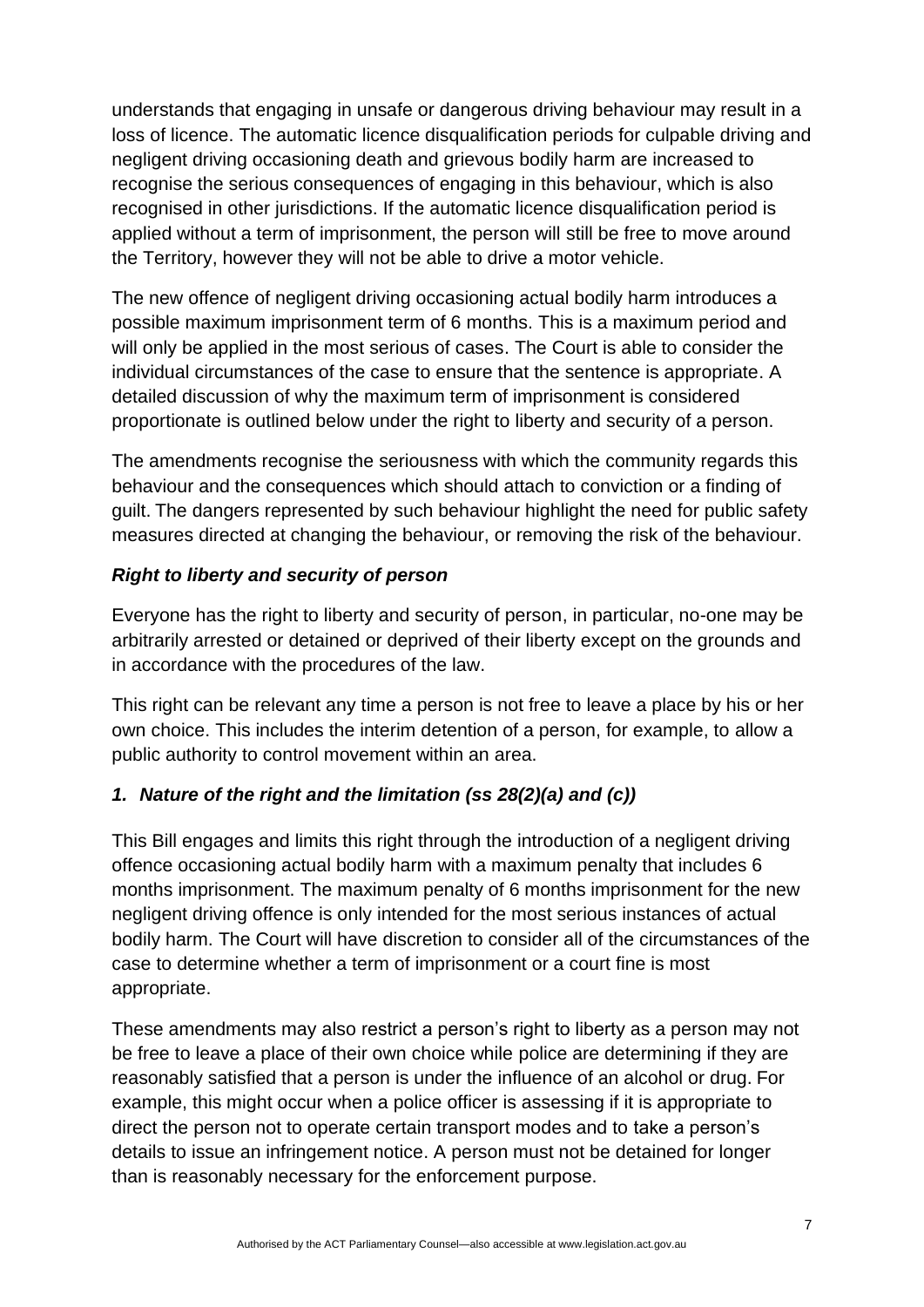understands that engaging in unsafe or dangerous driving behaviour may result in a loss of licence. The automatic licence disqualification periods for culpable driving and negligent driving occasioning death and grievous bodily harm are increased to recognise the serious consequences of engaging in this behaviour, which is also recognised in other jurisdictions. If the automatic licence disqualification period is applied without a term of imprisonment, the person will still be free to move around the Territory, however they will not be able to drive a motor vehicle.

The new offence of negligent driving occasioning actual bodily harm introduces a possible maximum imprisonment term of 6 months. This is a maximum period and will only be applied in the most serious of cases. The Court is able to consider the individual circumstances of the case to ensure that the sentence is appropriate. A detailed discussion of why the maximum term of imprisonment is considered proportionate is outlined below under the right to liberty and security of a person.

The amendments recognise the seriousness with which the community regards this behaviour and the consequences which should attach to conviction or a finding of guilt. The dangers represented by such behaviour highlight the need for public safety measures directed at changing the behaviour, or removing the risk of the behaviour.

#### *Right to liberty and security of person*

Everyone has the right to liberty and security of person, in particular, no-one may be arbitrarily arrested or detained or deprived of their liberty except on the grounds and in accordance with the procedures of the law.

This right can be relevant any time a person is not free to leave a place by his or her own choice. This includes the interim detention of a person, for example, to allow a public authority to control movement within an area.

## *1. Nature of the right and the limitation (ss 28(2)(a) and (c))*

This Bill engages and limits this right through the introduction of a negligent driving offence occasioning actual bodily harm with a maximum penalty that includes 6 months imprisonment. The maximum penalty of 6 months imprisonment for the new negligent driving offence is only intended for the most serious instances of actual bodily harm. The Court will have discretion to consider all of the circumstances of the case to determine whether a term of imprisonment or a court fine is most appropriate.

These amendments may also restrict a person's right to liberty as a person may not be free to leave a place of their own choice while police are determining if they are reasonably satisfied that a person is under the influence of an alcohol or drug. For example, this might occur when a police officer is assessing if it is appropriate to direct the person not to operate certain transport modes and to take a person's details to issue an infringement notice. A person must not be detained for longer than is reasonably necessary for the enforcement purpose.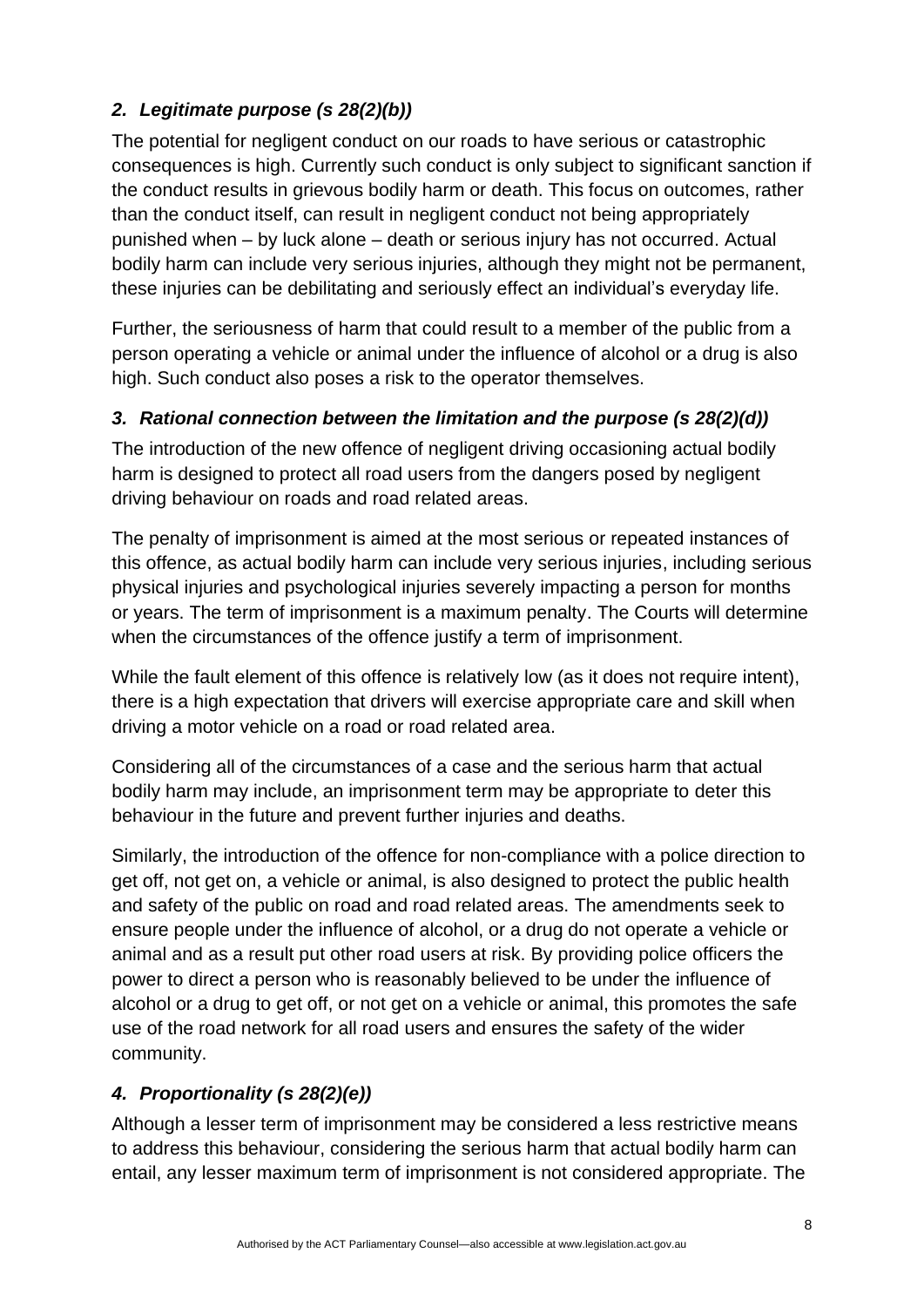# *2. Legitimate purpose (s 28(2)(b))*

The potential for negligent conduct on our roads to have serious or catastrophic consequences is high. Currently such conduct is only subject to significant sanction if the conduct results in grievous bodily harm or death. This focus on outcomes, rather than the conduct itself, can result in negligent conduct not being appropriately punished when – by luck alone – death or serious injury has not occurred. Actual bodily harm can include very serious injuries, although they might not be permanent, these injuries can be debilitating and seriously effect an individual's everyday life.

Further, the seriousness of harm that could result to a member of the public from a person operating a vehicle or animal under the influence of alcohol or a drug is also high. Such conduct also poses a risk to the operator themselves.

## *3. Rational connection between the limitation and the purpose (s 28(2)(d))*

The introduction of the new offence of negligent driving occasioning actual bodily harm is designed to protect all road users from the dangers posed by negligent driving behaviour on roads and road related areas.

The penalty of imprisonment is aimed at the most serious or repeated instances of this offence, as actual bodily harm can include very serious injuries, including serious physical injuries and psychological injuries severely impacting a person for months or years. The term of imprisonment is a maximum penalty. The Courts will determine when the circumstances of the offence justify a term of imprisonment.

While the fault element of this offence is relatively low (as it does not require intent), there is a high expectation that drivers will exercise appropriate care and skill when driving a motor vehicle on a road or road related area.

Considering all of the circumstances of a case and the serious harm that actual bodily harm may include, an imprisonment term may be appropriate to deter this behaviour in the future and prevent further injuries and deaths.

Similarly, the introduction of the offence for non-compliance with a police direction to get off, not get on, a vehicle or animal, is also designed to protect the public health and safety of the public on road and road related areas. The amendments seek to ensure people under the influence of alcohol, or a drug do not operate a vehicle or animal and as a result put other road users at risk. By providing police officers the power to direct a person who is reasonably believed to be under the influence of alcohol or a drug to get off, or not get on a vehicle or animal, this promotes the safe use of the road network for all road users and ensures the safety of the wider community.

# *4. Proportionality (s 28(2)(e))*

Although a lesser term of imprisonment may be considered a less restrictive means to address this behaviour, considering the serious harm that actual bodily harm can entail, any lesser maximum term of imprisonment is not considered appropriate. The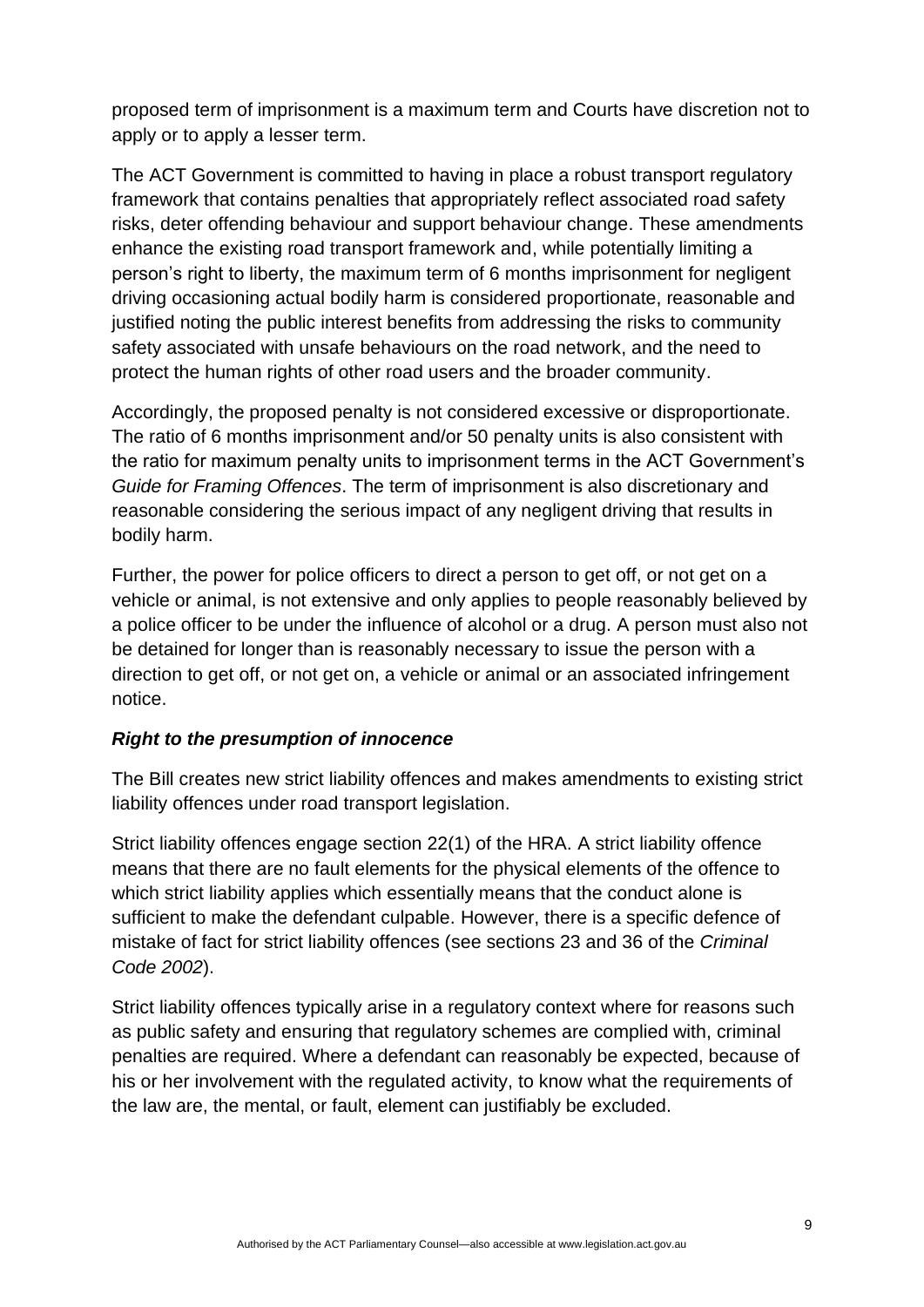proposed term of imprisonment is a maximum term and Courts have discretion not to apply or to apply a lesser term.

The ACT Government is committed to having in place a robust transport regulatory framework that contains penalties that appropriately reflect associated road safety risks, deter offending behaviour and support behaviour change. These amendments enhance the existing road transport framework and, while potentially limiting a person's right to liberty, the maximum term of 6 months imprisonment for negligent driving occasioning actual bodily harm is considered proportionate, reasonable and justified noting the public interest benefits from addressing the risks to community safety associated with unsafe behaviours on the road network, and the need to protect the human rights of other road users and the broader community.

Accordingly, the proposed penalty is not considered excessive or disproportionate. The ratio of 6 months imprisonment and/or 50 penalty units is also consistent with the ratio for maximum penalty units to imprisonment terms in the ACT Government's *Guide for Framing Offences*. The term of imprisonment is also discretionary and reasonable considering the serious impact of any negligent driving that results in bodily harm.

Further, the power for police officers to direct a person to get off, or not get on a vehicle or animal, is not extensive and only applies to people reasonably believed by a police officer to be under the influence of alcohol or a drug. A person must also not be detained for longer than is reasonably necessary to issue the person with a direction to get off, or not get on, a vehicle or animal or an associated infringement notice.

#### *Right to the presumption of innocence*

The Bill creates new strict liability offences and makes amendments to existing strict liability offences under road transport legislation.

Strict liability offences engage section 22(1) of the HRA. A strict liability offence means that there are no fault elements for the physical elements of the offence to which strict liability applies which essentially means that the conduct alone is sufficient to make the defendant culpable. However, there is a specific defence of mistake of fact for strict liability offences (see sections 23 and 36 of the *Criminal Code 2002*).

Strict liability offences typically arise in a regulatory context where for reasons such as public safety and ensuring that regulatory schemes are complied with, criminal penalties are required. Where a defendant can reasonably be expected, because of his or her involvement with the regulated activity, to know what the requirements of the law are, the mental, or fault, element can justifiably be excluded.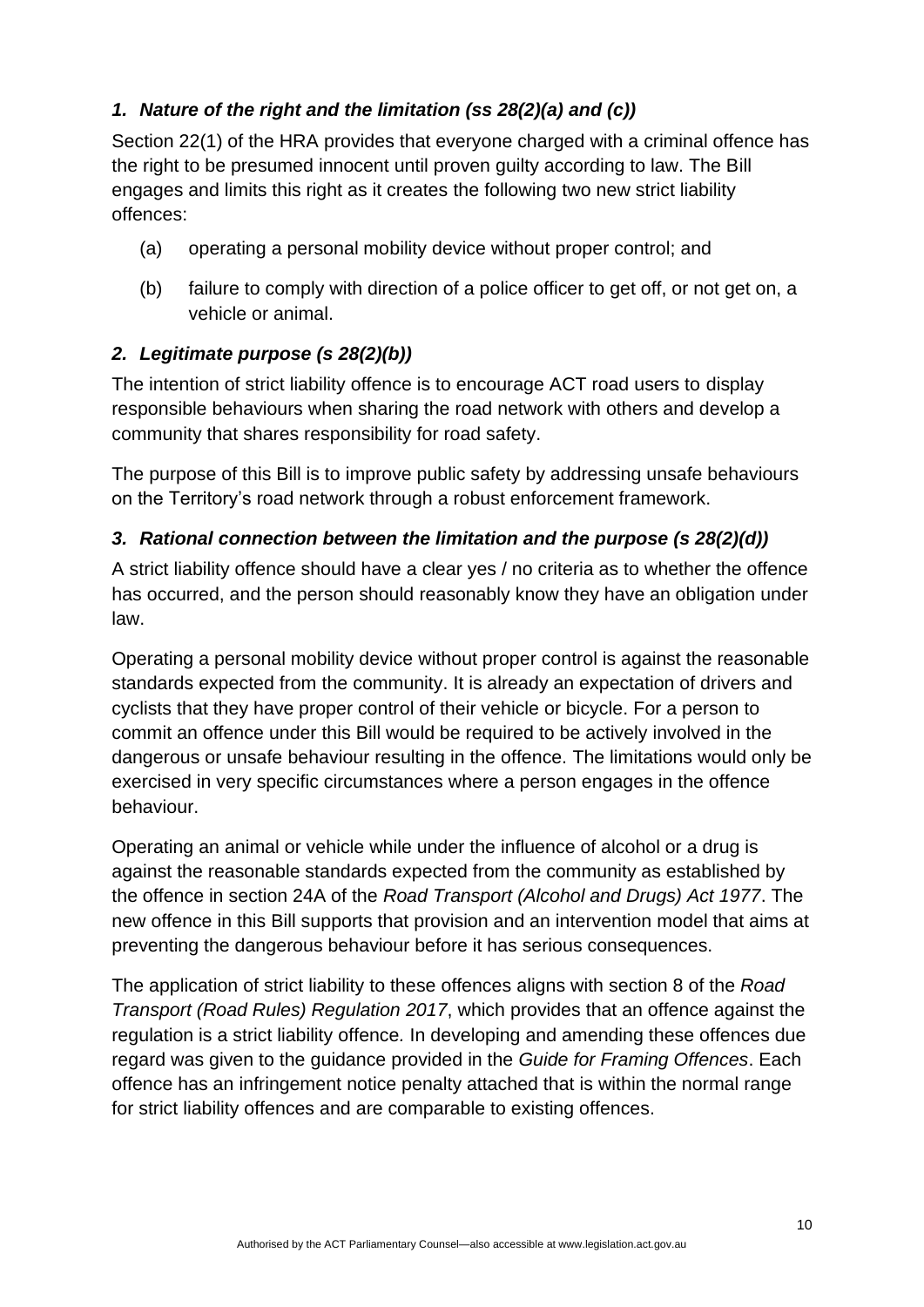## *1. Nature of the right and the limitation (ss 28(2)(a) and (c))*

Section 22(1) of the HRA provides that everyone charged with a criminal offence has the right to be presumed innocent until proven guilty according to law. The Bill engages and limits this right as it creates the following two new strict liability offences:

- (a) operating a personal mobility device without proper control; and
- (b) failure to comply with direction of a police officer to get off, or not get on, a vehicle or animal.

## *2. Legitimate purpose (s 28(2)(b))*

The intention of strict liability offence is to encourage ACT road users to display responsible behaviours when sharing the road network with others and develop a community that shares responsibility for road safety.

The purpose of this Bill is to improve public safety by addressing unsafe behaviours on the Territory's road network through a robust enforcement framework.

## *3. Rational connection between the limitation and the purpose (s 28(2)(d))*

A strict liability offence should have a clear yes / no criteria as to whether the offence has occurred, and the person should reasonably know they have an obligation under law.

Operating a personal mobility device without proper control is against the reasonable standards expected from the community. It is already an expectation of drivers and cyclists that they have proper control of their vehicle or bicycle. For a person to commit an offence under this Bill would be required to be actively involved in the dangerous or unsafe behaviour resulting in the offence. The limitations would only be exercised in very specific circumstances where a person engages in the offence behaviour.

Operating an animal or vehicle while under the influence of alcohol or a drug is against the reasonable standards expected from the community as established by the offence in section 24A of the *Road Transport (Alcohol and Drugs) Act 1977*. The new offence in this Bill supports that provision and an intervention model that aims at preventing the dangerous behaviour before it has serious consequences.

The application of strict liability to these offences aligns with section 8 of the *Road Transport (Road Rules) Regulation 2017*, which provides that an offence against the regulation is a strict liability offence*.* In developing and amending these offences due regard was given to the guidance provided in the *Guide for Framing Offences*. Each offence has an infringement notice penalty attached that is within the normal range for strict liability offences and are comparable to existing offences.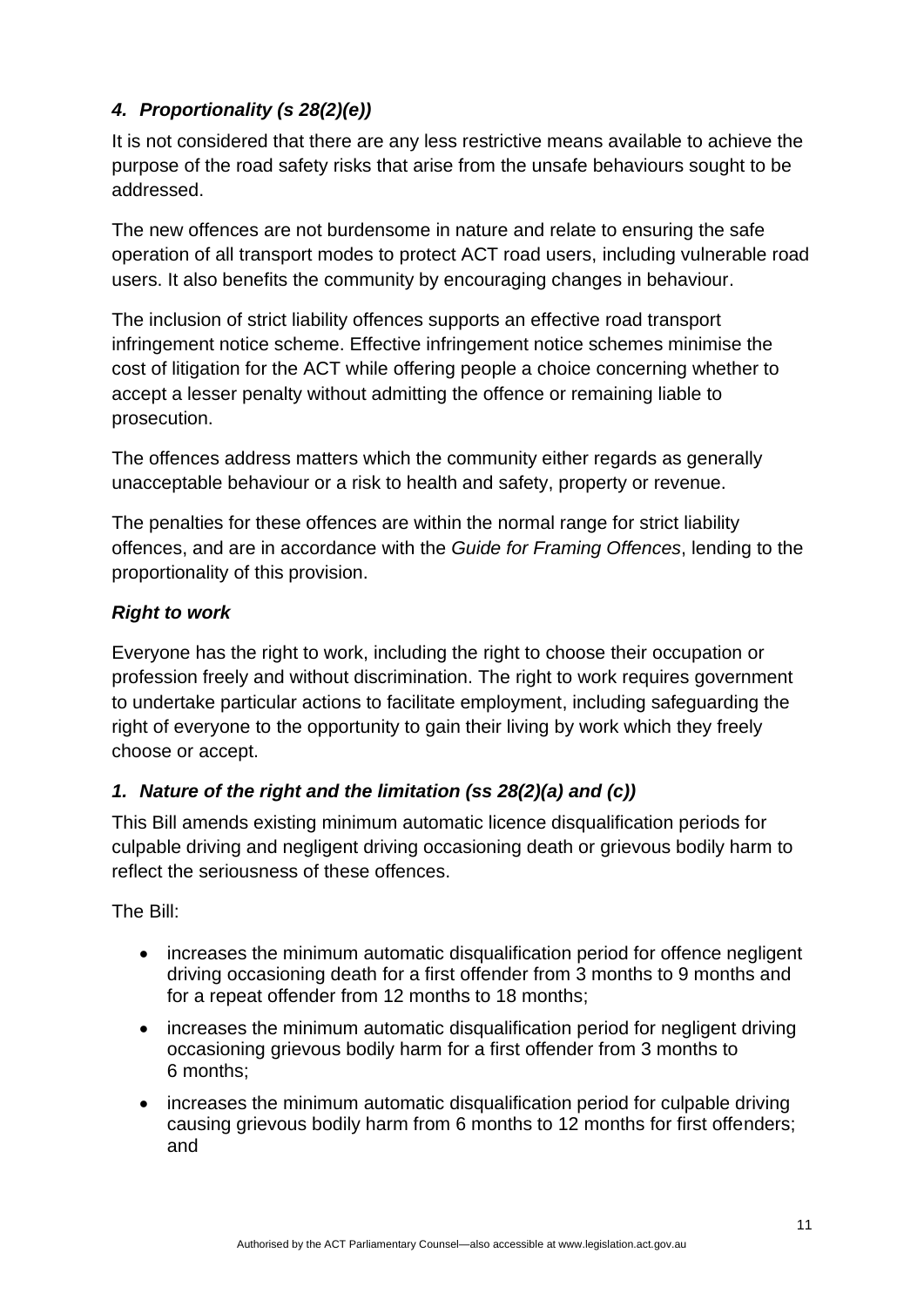# *4. Proportionality (s 28(2)(e))*

It is not considered that there are any less restrictive means available to achieve the purpose of the road safety risks that arise from the unsafe behaviours sought to be addressed.

The new offences are not burdensome in nature and relate to ensuring the safe operation of all transport modes to protect ACT road users, including vulnerable road users. It also benefits the community by encouraging changes in behaviour.

The inclusion of strict liability offences supports an effective road transport infringement notice scheme. Effective infringement notice schemes minimise the cost of litigation for the ACT while offering people a choice concerning whether to accept a lesser penalty without admitting the offence or remaining liable to prosecution.

The offences address matters which the community either regards as generally unacceptable behaviour or a risk to health and safety, property or revenue.

The penalties for these offences are within the normal range for strict liability offences, and are in accordance with the *Guide for Framing Offences*, lending to the proportionality of this provision.

### *Right to work*

Everyone has the right to work, including the right to choose their occupation or profession freely and without discrimination. The right to work requires government to undertake particular actions to facilitate employment, including safeguarding the right of everyone to the opportunity to gain their living by work which they freely choose or accept.

## *1. Nature of the right and the limitation (ss 28(2)(a) and (c))*

This Bill amends existing minimum automatic licence disqualification periods for culpable driving and negligent driving occasioning death or grievous bodily harm to reflect the seriousness of these offences.

The Bill:

- increases the minimum automatic disqualification period for offence negligent driving occasioning death for a first offender from 3 months to 9 months and for a repeat offender from 12 months to 18 months:
- increases the minimum automatic disqualification period for negligent driving occasioning grievous bodily harm for a first offender from 3 months to 6 months;
- increases the minimum automatic disqualification period for culpable driving causing grievous bodily harm from 6 months to 12 months for first offenders; and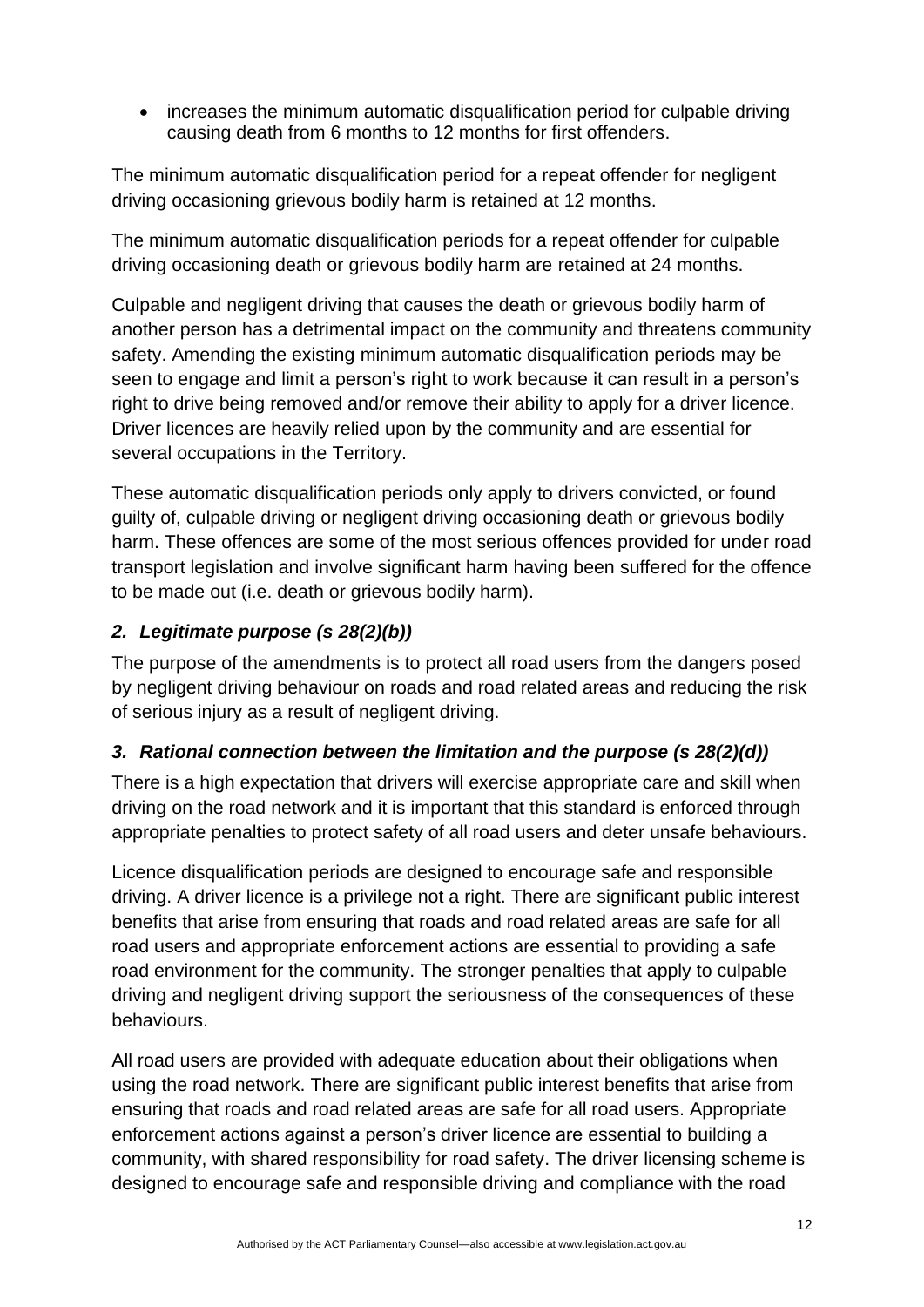• increases the minimum automatic disqualification period for culpable driving causing death from 6 months to 12 months for first offenders.

The minimum automatic disqualification period for a repeat offender for negligent driving occasioning grievous bodily harm is retained at 12 months.

The minimum automatic disqualification periods for a repeat offender for culpable driving occasioning death or grievous bodily harm are retained at 24 months.

Culpable and negligent driving that causes the death or grievous bodily harm of another person has a detrimental impact on the community and threatens community safety. Amending the existing minimum automatic disqualification periods may be seen to engage and limit a person's right to work because it can result in a person's right to drive being removed and/or remove their ability to apply for a driver licence. Driver licences are heavily relied upon by the community and are essential for several occupations in the Territory.

These automatic disqualification periods only apply to drivers convicted, or found guilty of, culpable driving or negligent driving occasioning death or grievous bodily harm. These offences are some of the most serious offences provided for under road transport legislation and involve significant harm having been suffered for the offence to be made out (i.e. death or grievous bodily harm).

## *2. Legitimate purpose (s 28(2)(b))*

The purpose of the amendments is to protect all road users from the dangers posed by negligent driving behaviour on roads and road related areas and reducing the risk of serious injury as a result of negligent driving.

## *3. Rational connection between the limitation and the purpose (s 28(2)(d))*

There is a high expectation that drivers will exercise appropriate care and skill when driving on the road network and it is important that this standard is enforced through appropriate penalties to protect safety of all road users and deter unsafe behaviours.

Licence disqualification periods are designed to encourage safe and responsible driving. A driver licence is a privilege not a right. There are significant public interest benefits that arise from ensuring that roads and road related areas are safe for all road users and appropriate enforcement actions are essential to providing a safe road environment for the community. The stronger penalties that apply to culpable driving and negligent driving support the seriousness of the consequences of these behaviours.

All road users are provided with adequate education about their obligations when using the road network. There are significant public interest benefits that arise from ensuring that roads and road related areas are safe for all road users. Appropriate enforcement actions against a person's driver licence are essential to building a community, with shared responsibility for road safety. The driver licensing scheme is designed to encourage safe and responsible driving and compliance with the road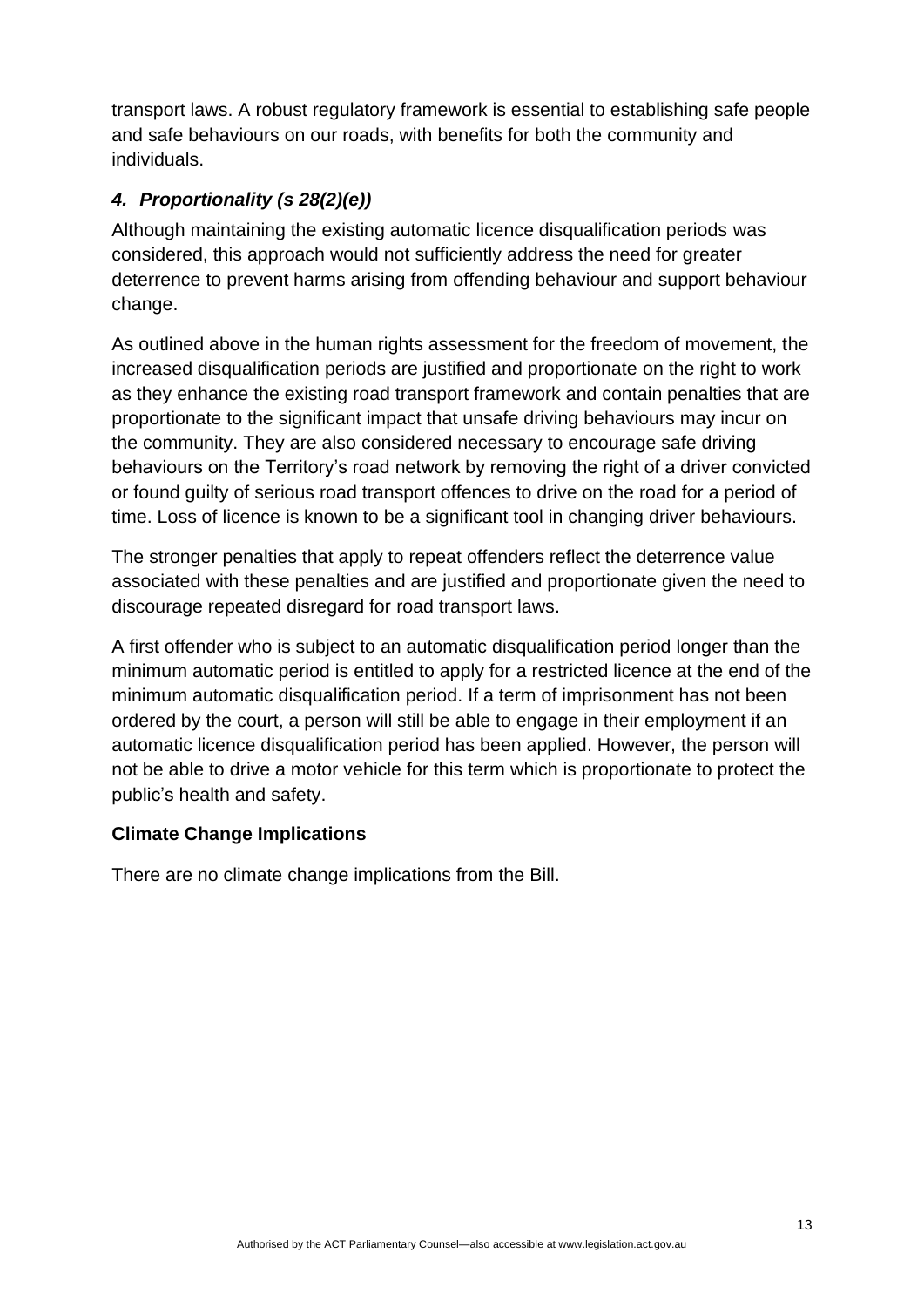transport laws. A robust regulatory framework is essential to establishing safe people and safe behaviours on our roads, with benefits for both the community and individuals.

## *4. Proportionality (s 28(2)(e))*

Although maintaining the existing automatic licence disqualification periods was considered, this approach would not sufficiently address the need for greater deterrence to prevent harms arising from offending behaviour and support behaviour change.

As outlined above in the human rights assessment for the freedom of movement, the increased disqualification periods are justified and proportionate on the right to work as they enhance the existing road transport framework and contain penalties that are proportionate to the significant impact that unsafe driving behaviours may incur on the community. They are also considered necessary to encourage safe driving behaviours on the Territory's road network by removing the right of a driver convicted or found guilty of serious road transport offences to drive on the road for a period of time. Loss of licence is known to be a significant tool in changing driver behaviours.

The stronger penalties that apply to repeat offenders reflect the deterrence value associated with these penalties and are justified and proportionate given the need to discourage repeated disregard for road transport laws.

A first offender who is subject to an automatic disqualification period longer than the minimum automatic period is entitled to apply for a restricted licence at the end of the minimum automatic disqualification period. If a term of imprisonment has not been ordered by the court, a person will still be able to engage in their employment if an automatic licence disqualification period has been applied. However, the person will not be able to drive a motor vehicle for this term which is proportionate to protect the public's health and safety.

#### **Climate Change Implications**

There are no climate change implications from the Bill.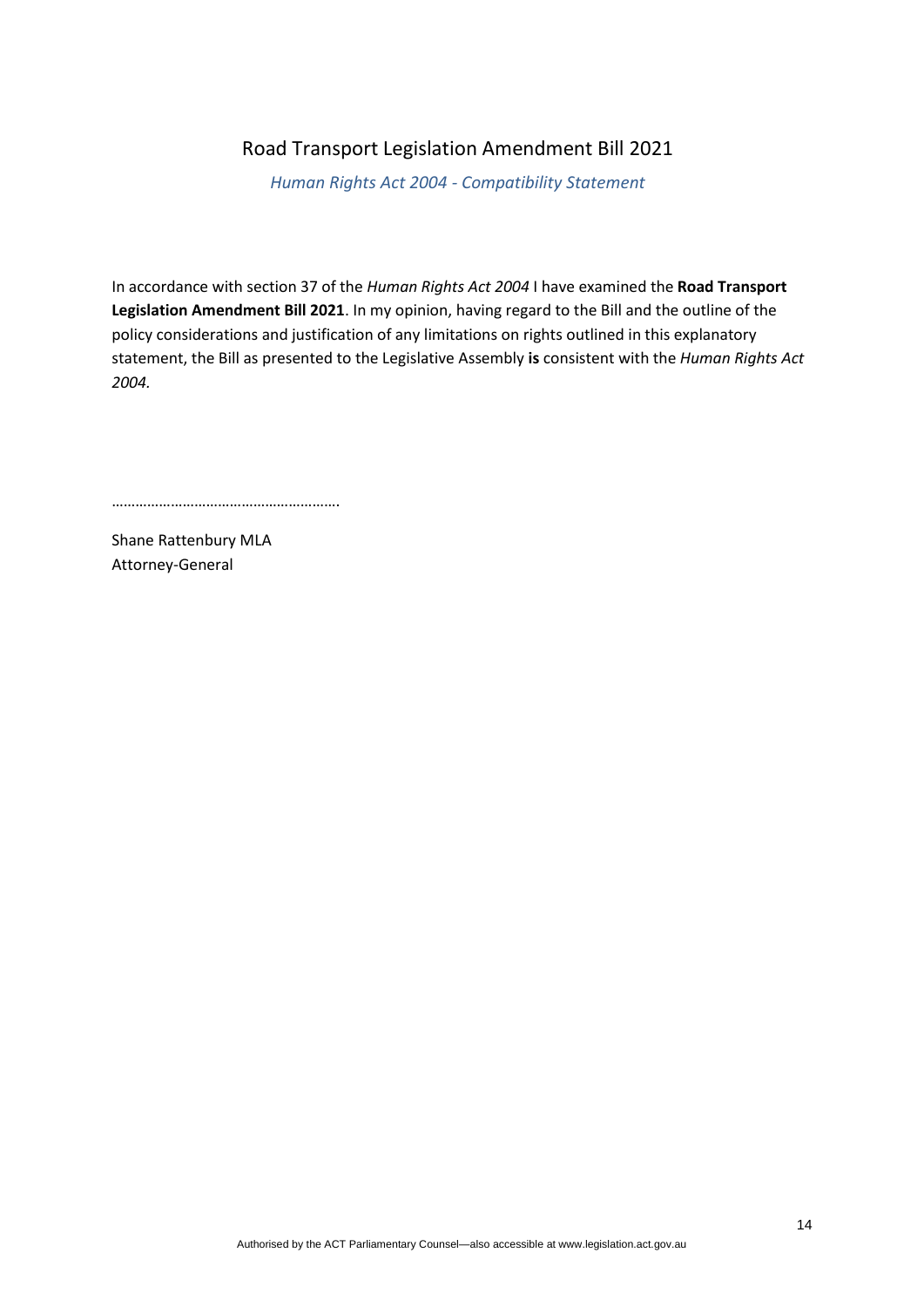#### Road Transport Legislation Amendment Bill 2021

*Human Rights Act 2004 - Compatibility Statement*

In accordance with section 37 of the *Human Rights Act 2004* I have examined the **Road Transport Legislation Amendment Bill 2021**. In my opinion, having regard to the Bill and the outline of the policy considerations and justification of any limitations on rights outlined in this explanatory statement, the Bill as presented to the Legislative Assembly **is** consistent with the *Human Rights Act 2004.*

………………………………………………….

Shane Rattenbury MLA Attorney-General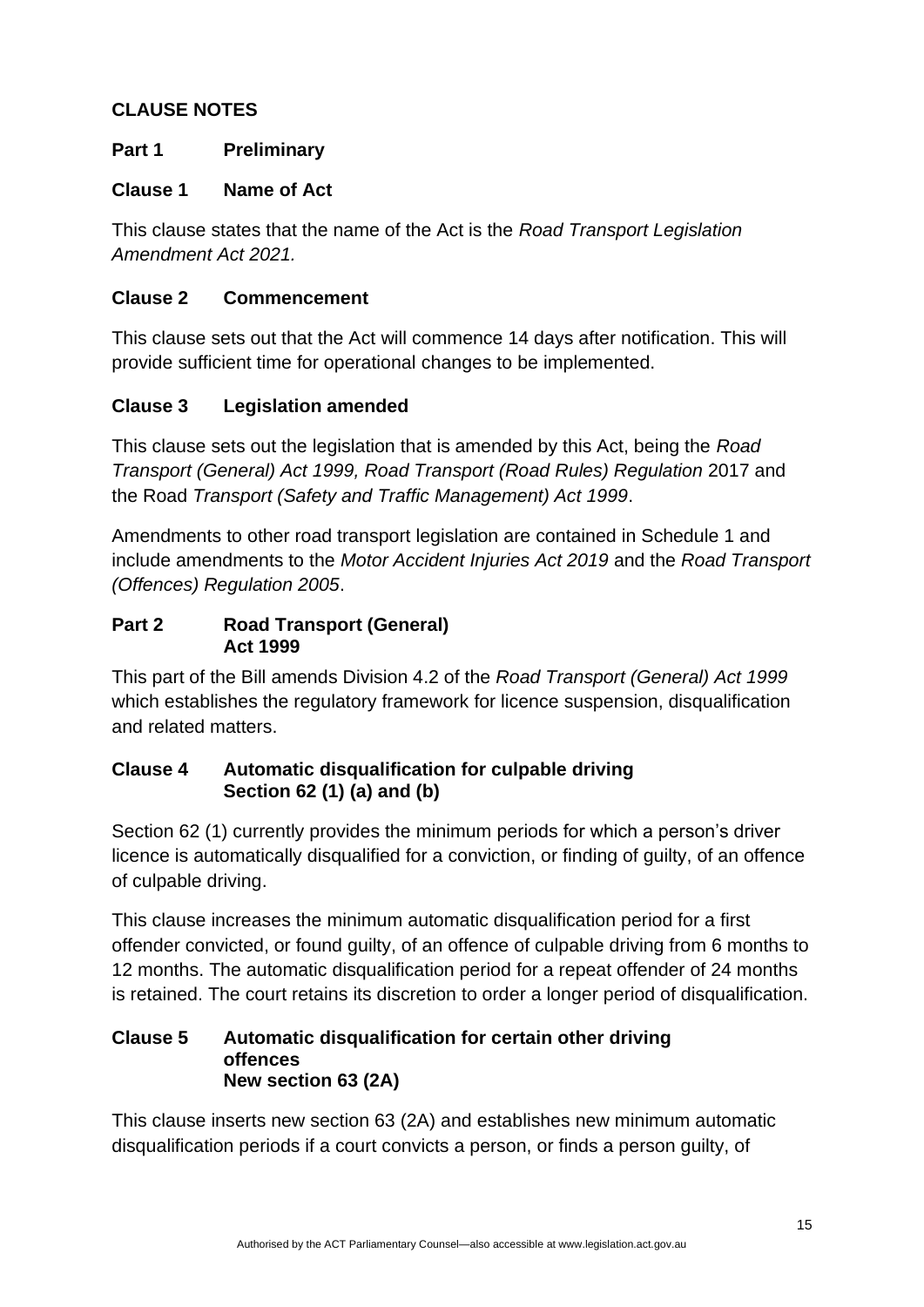### **CLAUSE NOTES**

### **Part 1 Preliminary**

#### **Clause 1 Name of Act**

This clause states that the name of the Act is the *Road Transport Legislation Amendment Act 2021.*

#### **Clause 2 Commencement**

This clause sets out that the Act will commence 14 days after notification. This will provide sufficient time for operational changes to be implemented.

#### **Clause 3 Legislation amended**

This clause sets out the legislation that is amended by this Act, being the *Road Transport (General) Act 1999, Road Transport (Road Rules) Regulation* 2017 and the Road *Transport (Safety and Traffic Management) Act 1999*.

Amendments to other road transport legislation are contained in Schedule 1 and include amendments to the *Motor Accident Injuries Act 2019* and the *Road Transport (Offences) Regulation 2005*.

#### **Part 2 Road Transport (General) Act 1999**

This part of the Bill amends Division 4.2 of the *Road Transport (General) Act 1999* which establishes the regulatory framework for licence suspension, disqualification and related matters.

#### **Clause 4 Automatic disqualification for culpable driving Section 62 (1) (a) and (b)**

Section 62 (1) currently provides the minimum periods for which a person's driver licence is automatically disqualified for a conviction, or finding of guilty, of an offence of culpable driving.

This clause increases the minimum automatic disqualification period for a first offender convicted, or found guilty, of an offence of culpable driving from 6 months to 12 months. The automatic disqualification period for a repeat offender of 24 months is retained. The court retains its discretion to order a longer period of disqualification.

#### **Clause 5 Automatic disqualification for certain other driving offences New section 63 (2A)**

This clause inserts new section 63 (2A) and establishes new minimum automatic disqualification periods if a court convicts a person, or finds a person guilty, of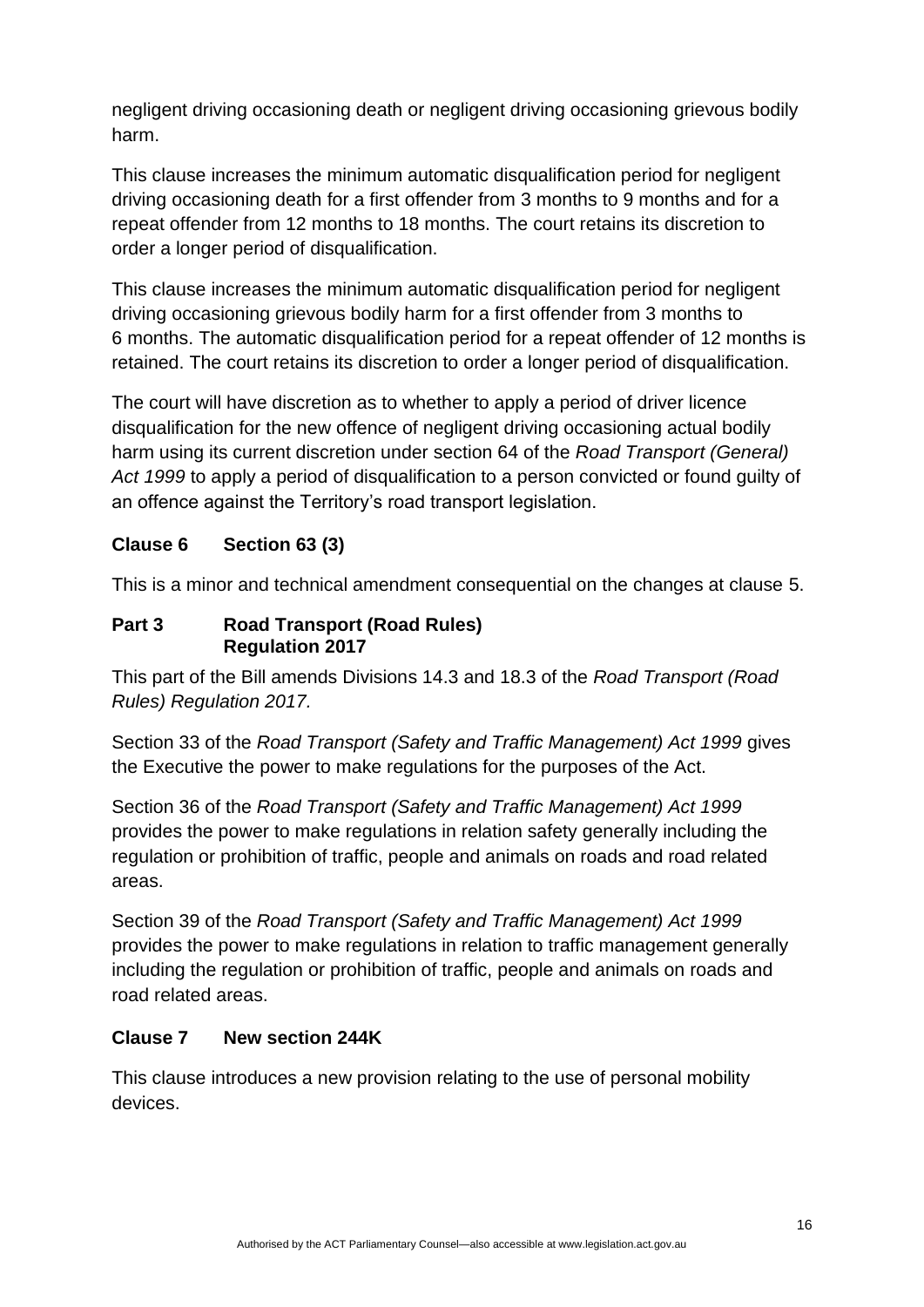negligent driving occasioning death or negligent driving occasioning grievous bodily harm.

This clause increases the minimum automatic disqualification period for negligent driving occasioning death for a first offender from 3 months to 9 months and for a repeat offender from 12 months to 18 months. The court retains its discretion to order a longer period of disqualification.

This clause increases the minimum automatic disqualification period for negligent driving occasioning grievous bodily harm for a first offender from 3 months to 6 months. The automatic disqualification period for a repeat offender of 12 months is retained. The court retains its discretion to order a longer period of disqualification.

The court will have discretion as to whether to apply a period of driver licence disqualification for the new offence of negligent driving occasioning actual bodily harm using its current discretion under section 64 of the *Road Transport (General) Act 1999* to apply a period of disqualification to a person convicted or found guilty of an offence against the Territory's road transport legislation.

## **Clause 6 Section 63 (3)**

This is a minor and technical amendment consequential on the changes at clause 5.

#### **Part 3 Road Transport (Road Rules) Regulation 2017**

This part of the Bill amends Divisions 14.3 and 18.3 of the *Road Transport (Road Rules) Regulation 2017.*

Section 33 of the *Road Transport (Safety and Traffic Management) Act 1999* gives the Executive the power to make regulations for the purposes of the Act.

Section 36 of the *Road Transport (Safety and Traffic Management) Act 1999*  provides the power to make regulations in relation safety generally including the regulation or prohibition of traffic, people and animals on roads and road related areas.

Section 39 of the *Road Transport (Safety and Traffic Management) Act 1999* provides the power to make regulations in relation to traffic management generally including the regulation or prohibition of traffic, people and animals on roads and road related areas.

#### **Clause 7 New section 244K**

This clause introduces a new provision relating to the use of personal mobility devices.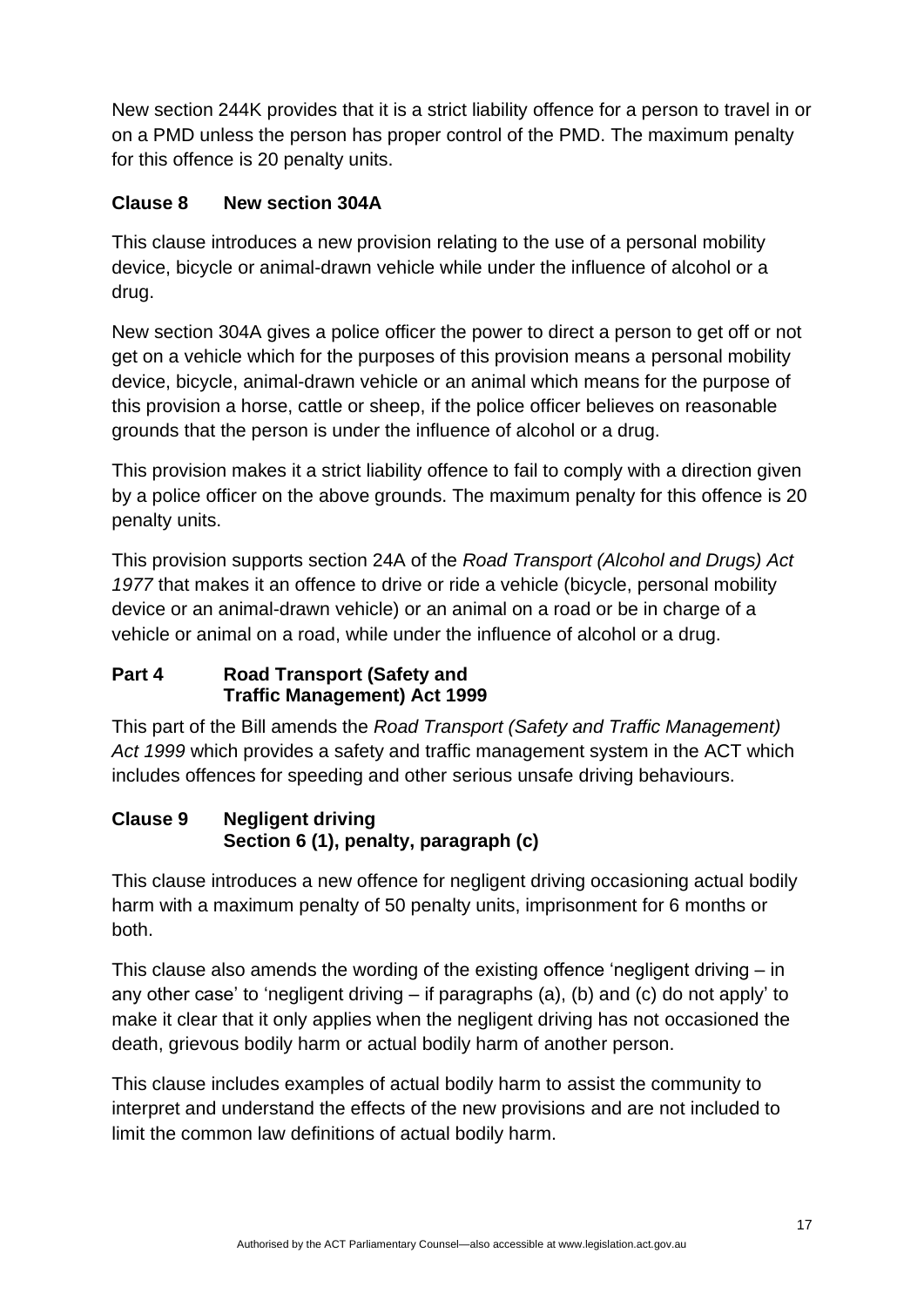New section 244K provides that it is a strict liability offence for a person to travel in or on a PMD unless the person has proper control of the PMD. The maximum penalty for this offence is 20 penalty units.

## **Clause 8 New section 304A**

This clause introduces a new provision relating to the use of a personal mobility device, bicycle or animal-drawn vehicle while under the influence of alcohol or a drug.

New section 304A gives a police officer the power to direct a person to get off or not get on a vehicle which for the purposes of this provision means a personal mobility device, bicycle, animal-drawn vehicle or an animal which means for the purpose of this provision a horse, cattle or sheep, if the police officer believes on reasonable grounds that the person is under the influence of alcohol or a drug.

This provision makes it a strict liability offence to fail to comply with a direction given by a police officer on the above grounds. The maximum penalty for this offence is 20 penalty units.

This provision supports section 24A of the *Road Transport (Alcohol and Drugs) Act 1977* that makes it an offence to drive or ride a vehicle (bicycle, personal mobility device or an animal-drawn vehicle) or an animal on a road or be in charge of a vehicle or animal on a road, while under the influence of alcohol or a drug.

### **Part 4 Road Transport (Safety and Traffic Management) Act 1999**

This part of the Bill amends the *Road Transport (Safety and Traffic Management) Act 1999* which provides a safety and traffic management system in the ACT which includes offences for speeding and other serious unsafe driving behaviours.

## **Clause 9 Negligent driving Section 6 (1), penalty, paragraph (c)**

This clause introduces a new offence for negligent driving occasioning actual bodily harm with a maximum penalty of 50 penalty units, imprisonment for 6 months or both.

This clause also amends the wording of the existing offence 'negligent driving – in any other case' to 'negligent driving – if paragraphs (a), (b) and (c) do not apply' to make it clear that it only applies when the negligent driving has not occasioned the death, grievous bodily harm or actual bodily harm of another person.

This clause includes examples of actual bodily harm to assist the community to interpret and understand the effects of the new provisions and are not included to limit the common law definitions of actual bodily harm.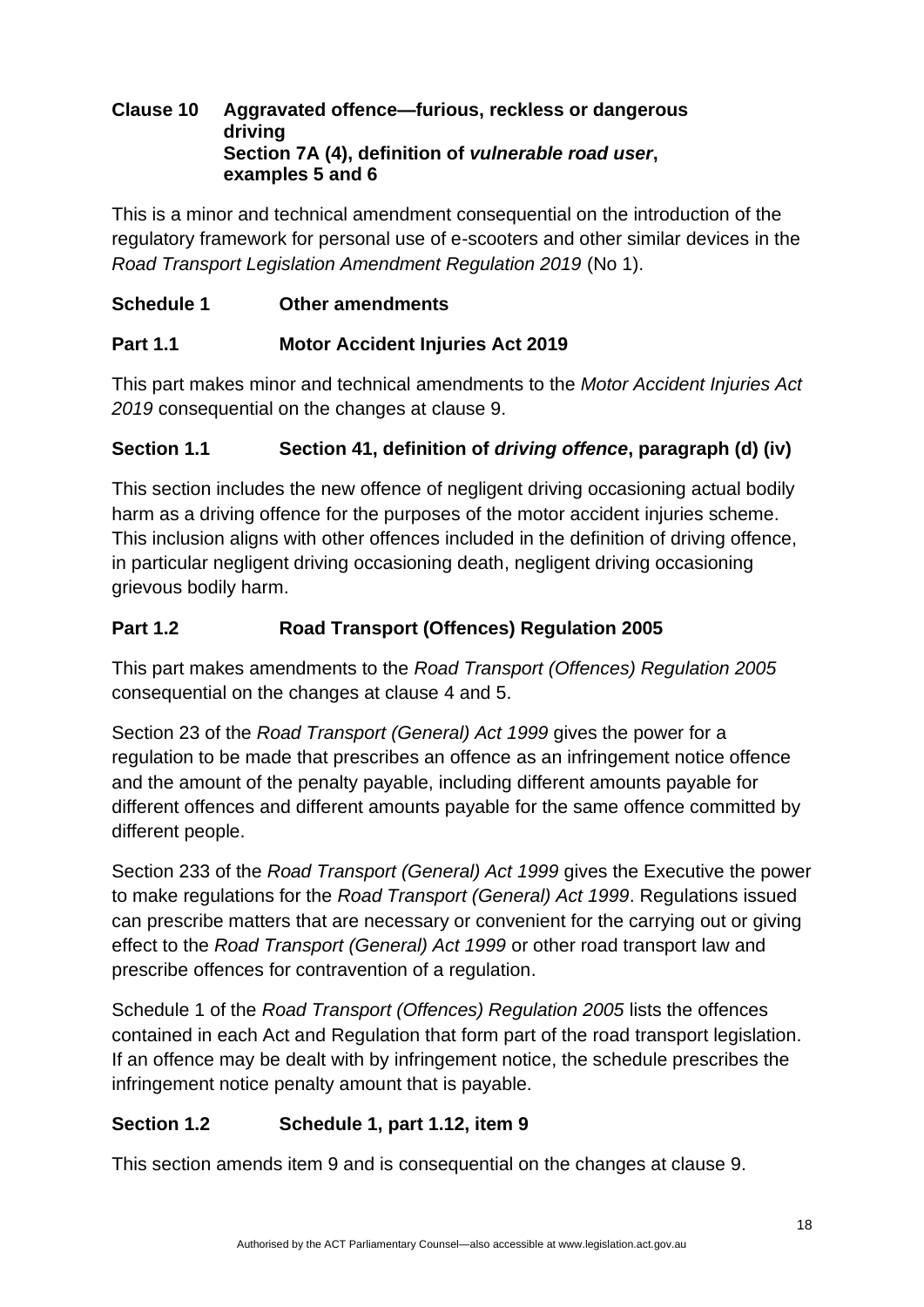#### **Clause 10 Aggravated offence—furious, reckless or dangerous driving Section 7A (4), definition of** *vulnerable road user***, examples 5 and 6**

This is a minor and technical amendment consequential on the introduction of the regulatory framework for personal use of e-scooters and other similar devices in the *Road Transport Legislation Amendment Regulation 2019* (No 1).

## **Schedule 1 Other amendments**

### **Part 1.1 Motor Accident Injuries Act 2019**

This part makes minor and technical amendments to the *Motor Accident Injuries Act 2019* consequential on the changes at clause 9.

### **Section 1.1 Section 41, definition of** *driving offence***, paragraph (d) (iv)**

This section includes the new offence of negligent driving occasioning actual bodily harm as a driving offence for the purposes of the motor accident injuries scheme. This inclusion aligns with other offences included in the definition of driving offence, in particular negligent driving occasioning death, negligent driving occasioning grievous bodily harm.

### **Part 1.2 Road Transport (Offences) Regulation 2005**

This part makes amendments to the *Road Transport (Offences) Regulation 2005* consequential on the changes at clause 4 and 5.

Section 23 of the *Road Transport (General) Act 1999* gives the power for a regulation to be made that prescribes an offence as an infringement notice offence and the amount of the penalty payable, including different amounts payable for different offences and different amounts payable for the same offence committed by different people.

Section 233 of the *Road Transport (General) Act 1999* gives the Executive the power to make regulations for the *Road Transport (General) Act 1999*. Regulations issued can prescribe matters that are necessary or convenient for the carrying out or giving effect to the *Road Transport (General) Act 1999* or other road transport law and prescribe offences for contravention of a regulation.

Schedule 1 of the *Road Transport (Offences) Regulation 2005* lists the offences contained in each Act and Regulation that form part of the road transport legislation. If an offence may be dealt with by infringement notice, the schedule prescribes the infringement notice penalty amount that is payable.

## **Section 1.2 Schedule 1, part 1.12, item 9**

This section amends item 9 and is consequential on the changes at clause 9.